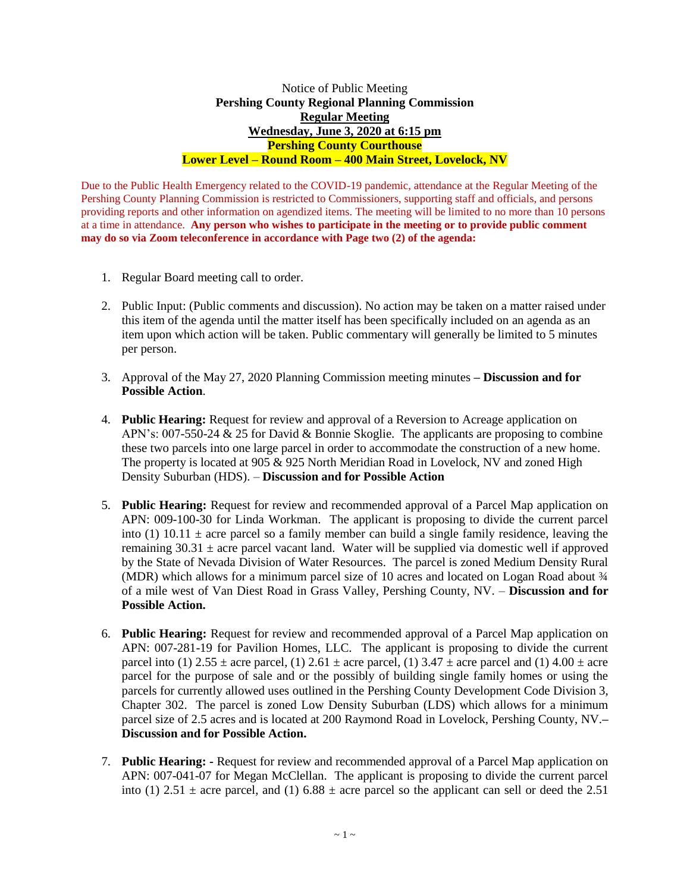## Notice of Public Meeting **Pershing County Regional Planning Commission Regular Meeting Wednesday, June 3, 2020 at 6:15 pm Pershing County Courthouse Lower Level – Round Room – 400 Main Street, Lovelock, NV**

Due to the Public Health Emergency related to the COVID-19 pandemic, attendance at the Regular Meeting of the Pershing County Planning Commission is restricted to Commissioners, supporting staff and officials, and persons providing reports and other information on agendized items. The meeting will be limited to no more than 10 persons at a time in attendance. **Any person who wishes to participate in the meeting or to provide public comment may do so via Zoom teleconference in accordance with Page two (2) of the agenda:** 

- 1. Regular Board meeting call to order.
- 2. Public Input: (Public comments and discussion). No action may be taken on a matter raised under this item of the agenda until the matter itself has been specifically included on an agenda as an item upon which action will be taken. Public commentary will generally be limited to 5 minutes per person.
- 3. Approval of the May 27, 2020 Planning Commission meeting minutes **– Discussion and for Possible Action**.
- 4. **Public Hearing:** Request for review and approval of a Reversion to Acreage application on APN's: 007-550-24 & 25 for David & Bonnie Skoglie. The applicants are proposing to combine these two parcels into one large parcel in order to accommodate the construction of a new home. The property is located at 905 & 925 North Meridian Road in Lovelock, NV and zoned High Density Suburban (HDS). – **Discussion and for Possible Action**
- 5. **Public Hearing:** Request for review and recommended approval of a Parcel Map application on APN: 009-100-30 for Linda Workman. The applicant is proposing to divide the current parcel into (1) 10.11  $\pm$  acre parcel so a family member can build a single family residence, leaving the remaining  $30.31 \pm$  acre parcel vacant land. Water will be supplied via domestic well if approved by the State of Nevada Division of Water Resources. The parcel is zoned Medium Density Rural (MDR) which allows for a minimum parcel size of 10 acres and located on Logan Road about  $\frac{3}{4}$ of a mile west of Van Diest Road in Grass Valley, Pershing County, NV. – **Discussion and for Possible Action.**
- 6. **Public Hearing:** Request for review and recommended approval of a Parcel Map application on APN: 007-281-19 for Pavilion Homes, LLC. The applicant is proposing to divide the current parcel into (1)  $2.55 \pm$  acre parcel, (1)  $2.61 \pm$  acre parcel, (1)  $3.47 \pm$  acre parcel and (1)  $4.00 \pm$  acre parcel for the purpose of sale and or the possibly of building single family homes or using the parcels for currently allowed uses outlined in the Pershing County Development Code Division 3, Chapter 302. The parcel is zoned Low Density Suburban (LDS) which allows for a minimum parcel size of 2.5 acres and is located at 200 Raymond Road in Lovelock, Pershing County, NV.**– Discussion and for Possible Action.**
- 7. **Public Hearing: -** Request for review and recommended approval of a Parcel Map application on APN: 007-041-07 for Megan McClellan. The applicant is proposing to divide the current parcel into (1)  $2.51 \pm$  acre parcel, and (1)  $6.88 \pm$  acre parcel so the applicant can sell or deed the 2.51